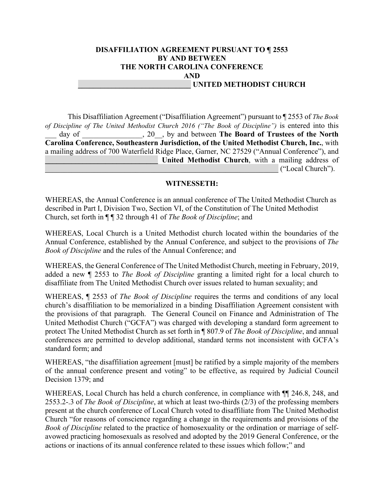### **DISAFFILIATION AGREEMENT PURSUANT TO ¶ 2553 BY AND BETWEEN THE NORTH CAROLINA CONFERENCE AND \_\_\_\_\_\_\_\_\_\_\_\_\_\_\_\_\_\_\_\_\_\_\_\_\_\_\_\_\_\_ UNITED METHODIST CHURCH**

This Disaffiliation Agreement ("Disaffiliation Agreement") pursuant to ¶ 2553 of *The Book of Discipline of The United Methodist Church 2016 ("The Book of Discipline")* is entered into this day of  $\qquad \qquad , 20$ , by and between **The Board of Trustees of the North Carolina Conference, Southeastern Jurisdiction, of the United Methodist Church, Inc.**, with a mailing address of 700 Waterfield Ridge Place, Garner, NC 27529 ("Annual Conference"), and **United Methodist Church**, with a mailing address of

\_\_\_\_\_\_\_\_\_\_\_\_\_\_\_\_\_\_\_\_\_\_\_\_\_\_\_\_\_\_\_\_\_\_\_\_\_\_\_\_\_\_\_\_\_\_\_\_\_\_\_\_\_\_\_\_\_\_\_\_\_\_ ("Local Church").

### **WITNESSETH:**

WHEREAS, the Annual Conference is an annual conference of The United Methodist Church as described in Part I, Division Two, Section VI, of the Constitution of The United Methodist Church, set forth in ¶ ¶ 32 through 41 of *The Book of Discipline*; and

WHEREAS, Local Church is a United Methodist church located within the boundaries of the Annual Conference, established by the Annual Conference, and subject to the provisions of *The Book of Discipline* and the rules of the Annual Conference; and

WHEREAS, the General Conference of The United Methodist Church, meeting in February, 2019, added a new ¶ 2553 to *The Book of Discipline* granting a limited right for a local church to disaffiliate from The United Methodist Church over issues related to human sexuality; and

WHEREAS, ¶ 2553 of *The Book of Discipline* requires the terms and conditions of any local church's disaffiliation to be memorialized in a binding Disaffiliation Agreement consistent with the provisions of that paragraph. The General Council on Finance and Administration of The United Methodist Church ("GCFA") was charged with developing a standard form agreement to protect The United Methodist Church as set forth in ¶ 807.9 of *The Book of Discipline*, and annual conferences are permitted to develop additional, standard terms not inconsistent with GCFA's standard form; and

WHEREAS, "the disaffiliation agreement [must] be ratified by a simple majority of the members of the annual conference present and voting" to be effective, as required by Judicial Council Decision 1379; and

WHEREAS, Local Church has held a church conference, in compliance with  $\P$  246.8, 248, and 2553.2-.3 of *The Book of Discipline*, at which at least two-thirds (2/3) of the professing members present at the church conference of Local Church voted to disaffiliate from The United Methodist Church "for reasons of conscience regarding a change in the requirements and provisions of the *Book of Discipline* related to the practice of homosexuality or the ordination or marriage of selfavowed practicing homosexuals as resolved and adopted by the 2019 General Conference, or the actions or inactions of its annual conference related to these issues which follow;" and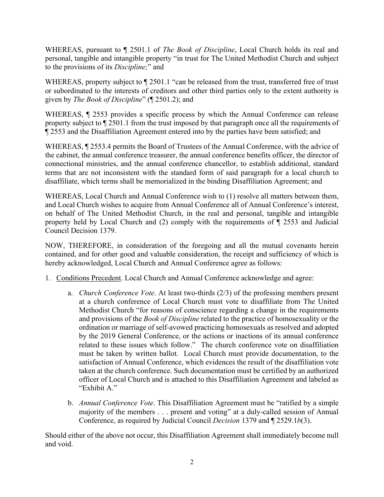WHEREAS, pursuant to ¶ 2501.1 of *The Book of Discipline*, Local Church holds its real and personal, tangible and intangible property "in trust for The United Methodist Church and subject to the provisions of its *Discipline;*" and

WHEREAS, property subject to  $\P$  2501.1 "can be released from the trust, transferred free of trust or subordinated to the interests of creditors and other third parties only to the extent authority is given by *The Book of Discipline*" (¶ 2501.2); and

WHEREAS, ¶ 2553 provides a specific process by which the Annual Conference can release property subject to ¶ 2501.1 from the trust imposed by that paragraph once all the requirements of ¶ 2553 and the Disaffiliation Agreement entered into by the parties have been satisfied; and

WHEREAS, ¶ 2553.4 permits the Board of Trustees of the Annual Conference, with the advice of the cabinet, the annual conference treasurer, the annual conference benefits officer, the director of connectional ministries, and the annual conference chancellor, to establish additional, standard terms that are not inconsistent with the standard form of said paragraph for a local church to disaffiliate, which terms shall be memorialized in the binding Disaffiliation Agreement; and

WHEREAS, Local Church and Annual Conference wish to (1) resolve all matters between them, and Local Church wishes to acquire from Annual Conference all of Annual Conference's interest, on behalf of The United Methodist Church, in the real and personal, tangible and intangible property held by Local Church and (2) comply with the requirements of ¶ 2553 and Judicial Council Decision 1379.

NOW, THEREFORE, in consideration of the foregoing and all the mutual covenants herein contained, and for other good and valuable consideration, the receipt and sufficiency of which is hereby acknowledged, Local Church and Annual Conference agree as follows:

- 1. Conditions Precedent. Local Church and Annual Conference acknowledge and agree:
	- a. *Church Conference Vote*. At least two-thirds (2/3) of the professing members present at a church conference of Local Church must vote to disaffiliate from The United Methodist Church "for reasons of conscience regarding a change in the requirements and provisions of the *Book of Discipline* related to the practice of homosexuality or the ordination or marriage of self-avowed practicing homosexuals as resolved and adopted by the 2019 General Conference, or the actions or inactions of its annual conference related to these issues which follow." The church conference vote on disaffiliation must be taken by written ballot. Local Church must provide documentation, to the satisfaction of Annual Conference, which evidences the result of the disaffiliation vote taken at the church conference. Such documentation must be certified by an authorized officer of Local Church and is attached to this Disaffiliation Agreement and labeled as "Exhibit A."
	- b. *Annual Conference Vote*. This Disaffiliation Agreement must be "ratified by a simple majority of the members . . . present and voting" at a duly-called session of Annual Conference, as required by Judicial Council *Decision* 1379 and ¶ 2529.1*b*(3).

Should either of the above not occur, this Disaffiliation Agreement shall immediately become null and void.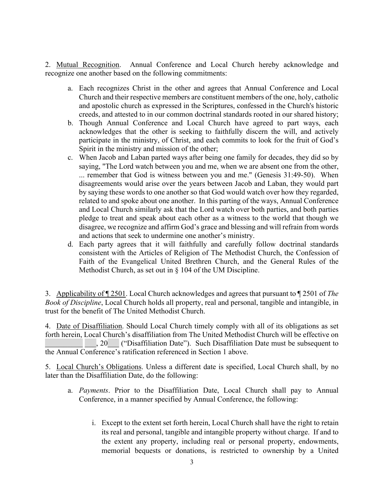2. Mutual Recognition. Annual Conference and Local Church hereby acknowledge and recognize one another based on the following commitments:

- a. Each recognizes Christ in the other and agrees that Annual Conference and Local Church and their respective members are constituent members of the one, holy, catholic and apostolic church as expressed in the Scriptures, confessed in the Church's historic creeds, and attested to in our common doctrinal standards rooted in our shared history;
- b. Though Annual Conference and Local Church have agreed to part ways, each acknowledges that the other is seeking to faithfully discern the will, and actively participate in the ministry, of Christ, and each commits to look for the fruit of God's Spirit in the ministry and mission of the other;
- c. When Jacob and Laban parted ways after being one family for decades, they did so by saying, "The Lord watch between you and me, when we are absent one from the other, ... remember that God is witness between you and me." (Genesis 31:49-50). When disagreements would arise over the years between Jacob and Laban, they would part by saying these words to one another so that God would watch over how they regarded, related to and spoke about one another. In this parting of the ways, Annual Conference and Local Church similarly ask that the Lord watch over both parties, and both parties pledge to treat and speak about each other as a witness to the world that though we disagree, we recognize and affirm God's grace and blessing and will refrain from words and actions that seek to undermine one another's ministry.
- d. Each party agrees that it will faithfully and carefully follow doctrinal standards consistent with the Articles of Religion of The Methodist Church, the Confession of Faith of the Evangelical United Brethren Church, and the General Rules of the Methodist Church, as set out in § 104 of the UM Discipline.

3. Applicability of ¶ 2501. Local Church acknowledges and agrees that pursuant to ¶ 2501 of *The Book of Discipline*, Local Church holds all property, real and personal, tangible and intangible, in trust for the benefit of The United Methodist Church.

4. Date of Disaffiliation. Should Local Church timely comply with all of its obligations as set forth herein, Local Church's disaffiliation from The United Methodist Church will be effective on . 20 ("Disaffiliation Date"). Such Disaffiliation Date must be subsequent to the Annual Conference's ratification referenced in Section 1 above.

5. Local Church's Obligations. Unless a different date is specified, Local Church shall, by no later than the Disaffiliation Date, do the following:

- a. *Payments*. Prior to the Disaffiliation Date, Local Church shall pay to Annual Conference, in a manner specified by Annual Conference, the following:
	- i. Except to the extent set forth herein, Local Church shall have the right to retain its real and personal, tangible and intangible property without charge. If and to the extent any property, including real or personal property, endowments, memorial bequests or donations, is restricted to ownership by a United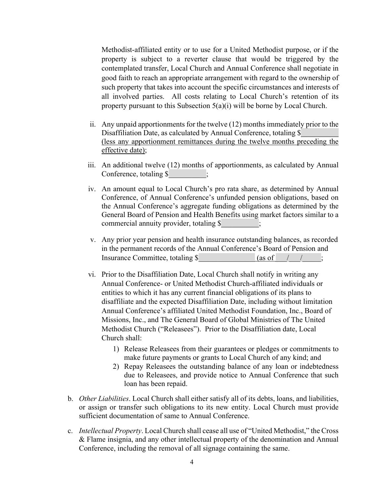Methodist-affiliated entity or to use for a United Methodist purpose, or if the property is subject to a reverter clause that would be triggered by the contemplated transfer, Local Church and Annual Conference shall negotiate in good faith to reach an appropriate arrangement with regard to the ownership of such property that takes into account the specific circumstances and interests of all involved parties. All costs relating to Local Church's retention of its property pursuant to this Subsection 5(a)(i) will be borne by Local Church.

- ii. Any unpaid apportionments for the twelve (12) months immediately prior to the Disaffiliation Date, as calculated by Annual Conference, totaling \$ (less any apportionment remittances during the twelve months preceding the effective date);
- iii. An additional twelve (12) months of apportionments, as calculated by Annual Conference, totaling \$ ;
- iv. An amount equal to Local Church's pro rata share, as determined by Annual Conference, of Annual Conference's unfunded pension obligations, based on the Annual Conference's aggregate funding obligations as determined by the General Board of Pension and Health Benefits using market factors similar to a commercial annuity provider, totaling \$  $\hspace{1.5cm}$ ;
- v. Any prior year pension and health insurance outstanding balances, as recorded in the permanent records of the Annual Conference's Board of Pension and Insurance Committee, totaling \$  $\qquad \qquad$  (as of  $\qquad / \qquad$ );
- vi. Prior to the Disaffiliation Date, Local Church shall notify in writing any Annual Conference- or United Methodist Church-affiliated individuals or entities to which it has any current financial obligations of its plans to disaffiliate and the expected Disaffiliation Date, including without limitation Annual Conference's affiliated United Methodist Foundation, Inc., Board of Missions, Inc., and The General Board of Global Ministries of The United Methodist Church ("Releasees"). Prior to the Disaffiliation date, Local Church shall:
	- 1) Release Releasees from their guarantees or pledges or commitments to make future payments or grants to Local Church of any kind; and
	- 2) Repay Releasees the outstanding balance of any loan or indebtedness due to Releasees, and provide notice to Annual Conference that such loan has been repaid.
- b. *Other Liabilities*. Local Church shall either satisfy all of its debts, loans, and liabilities, or assign or transfer such obligations to its new entity. Local Church must provide sufficient documentation of same to Annual Conference.
- c. *Intellectual Property*. Local Church shall cease all use of "United Methodist," the Cross & Flame insignia, and any other intellectual property of the denomination and Annual Conference, including the removal of all signage containing the same.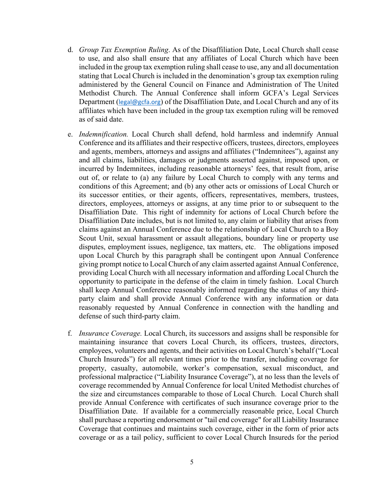- d. *Group Tax Exemption Ruling*. As of the Disaffiliation Date, Local Church shall cease to use, and also shall ensure that any affiliates of Local Church which have been included in the group tax exemption ruling shall cease to use, any and all documentation stating that Local Church is included in the denomination's group tax exemption ruling administered by the General Council on Finance and Administration of The United Methodist Church. The Annual Conference shall inform GCFA's Legal Services Department (legal@gcfa.org) of the Disaffiliation Date, and Local Church and any of its affiliates which have been included in the group tax exemption ruling will be removed as of said date.
- e. *Indemnification.* Local Church shall defend, hold harmless and indemnify Annual Conference and its affiliates and their respective officers, trustees, directors, employees and agents, members, attorneys and assigns and affiliates ("Indemnitees"), against any and all claims, liabilities, damages or judgments asserted against, imposed upon, or incurred by Indemnitees, including reasonable attorneys' fees, that result from, arise out of, or relate to (a) any failure by Local Church to comply with any terms and conditions of this Agreement; and (b) any other acts or omissions of Local Church or its successor entities, or their agents, officers, representatives, members, trustees, directors, employees, attorneys or assigns, at any time prior to or subsequent to the Disaffiliation Date. This right of indemnity for actions of Local Church before the Disaffiliation Date includes, but is not limited to, any claim or liability that arises from claims against an Annual Conference due to the relationship of Local Church to a Boy Scout Unit, sexual harassment or assault allegations, boundary line or property use disputes, employment issues, negligence, tax matters, etc. The obligations imposed upon Local Church by this paragraph shall be contingent upon Annual Conference giving prompt notice to Local Church of any claim asserted against Annual Conference, providing Local Church with all necessary information and affording Local Church the opportunity to participate in the defense of the claim in timely fashion. Local Church shall keep Annual Conference reasonably informed regarding the status of any thirdparty claim and shall provide Annual Conference with any information or data reasonably requested by Annual Conference in connection with the handling and defense of such third-party claim.
- f. *Insurance Coverage.* Local Church, its successors and assigns shall be responsible for maintaining insurance that covers Local Church, its officers, trustees, directors, employees, volunteers and agents, and their activities on Local Church's behalf ("Local Church Insureds") for all relevant times prior to the transfer, including coverage for property, casualty, automobile, worker's compensation, sexual misconduct, and professional malpractice ("Liability Insurance Coverage"), at no less than the levels of coverage recommended by Annual Conference for local United Methodist churches of the size and circumstances comparable to those of Local Church. Local Church shall provide Annual Conference with certificates of such insurance coverage prior to the Disaffiliation Date. If available for a commercially reasonable price, Local Church shall purchase a reporting endorsement or "tail end coverage" for all Liability Insurance Coverage that continues and maintains such coverage, either in the form of prior acts coverage or as a tail policy, sufficient to cover Local Church Insureds for the period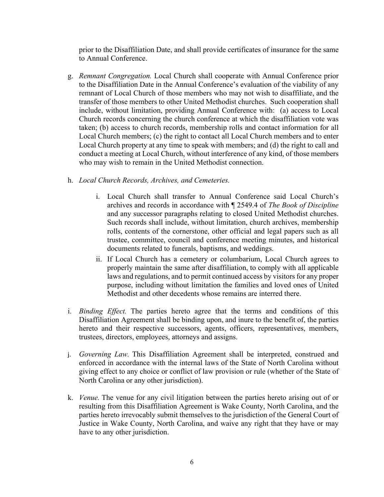prior to the Disaffiliation Date, and shall provide certificates of insurance for the same to Annual Conference.

- g. *Remnant Congregation.* Local Church shall cooperate with Annual Conference prior to the Disaffiliation Date in the Annual Conference's evaluation of the viability of any remnant of Local Church of those members who may not wish to disaffiliate, and the transfer of those members to other United Methodist churches. Such cooperation shall include, without limitation, providing Annual Conference with: (a) access to Local Church records concerning the church conference at which the disaffiliation vote was taken; (b) access to church records, membership rolls and contact information for all Local Church members; (c) the right to contact all Local Church members and to enter Local Church property at any time to speak with members; and (d) the right to call and conduct a meeting at Local Church, without interference of any kind, of those members who may wish to remain in the United Methodist connection.
- h. *Local Church Records, Archives, and Cemeteries.* 
	- i. Local Church shall transfer to Annual Conference said Local Church's archives and records in accordance with ¶ 2549.4 of *The Book of Discipline* and any successor paragraphs relating to closed United Methodist churches. Such records shall include, without limitation, church archives, membership rolls, contents of the cornerstone, other official and legal papers such as all trustee, committee, council and conference meeting minutes, and historical documents related to funerals, baptisms, and weddings.
	- ii. If Local Church has a cemetery or columbarium, Local Church agrees to properly maintain the same after disaffiliation, to comply with all applicable laws and regulations, and to permit continued access by visitors for any proper purpose, including without limitation the families and loved ones of United Methodist and other decedents whose remains are interred there.
- i. *Binding Effect.* The parties hereto agree that the terms and conditions of this Disaffiliation Agreement shall be binding upon, and inure to the benefit of, the parties hereto and their respective successors, agents, officers, representatives, members, trustees, directors, employees, attorneys and assigns.
- j. *Governing Law.* This Disaffiliation Agreement shall be interpreted, construed and enforced in accordance with the internal laws of the State of North Carolina without giving effect to any choice or conflict of law provision or rule (whether of the State of North Carolina or any other jurisdiction).
- k. *Venue.* The venue for any civil litigation between the parties hereto arising out of or resulting from this Disaffiliation Agreement is Wake County, North Carolina, and the parties hereto irrevocably submit themselves to the jurisdiction of the General Court of Justice in Wake County, North Carolina, and waive any right that they have or may have to any other jurisdiction.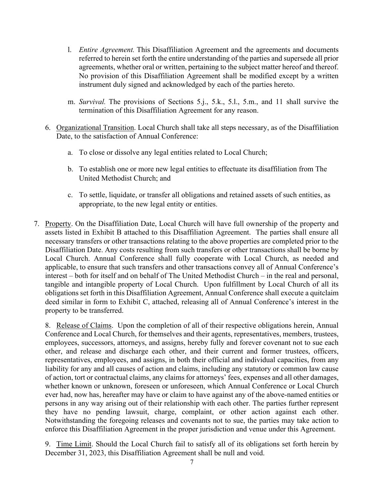- l. *Entire Agreement.* This Disaffiliation Agreement and the agreements and documents referred to herein set forth the entire understanding of the parties and supersede all prior agreements, whether oral or written, pertaining to the subject matter hereof and thereof. No provision of this Disaffiliation Agreement shall be modified except by a written instrument duly signed and acknowledged by each of the parties hereto.
- m. *Survival.* The provisions of Sections 5.j., 5.k., 5.l., 5.m., and 11 shall survive the termination of this Disaffiliation Agreement for any reason.
- 6. Organizational Transition. Local Church shall take all steps necessary, as of the Disaffiliation Date, to the satisfaction of Annual Conference:
	- a. To close or dissolve any legal entities related to Local Church;
	- b. To establish one or more new legal entities to effectuate its disaffiliation from The United Methodist Church; and
	- c. To settle, liquidate, or transfer all obligations and retained assets of such entities, as appropriate, to the new legal entity or entities.
- 7. Property. On the Disaffiliation Date, Local Church will have full ownership of the property and assets listed in Exhibit B attached to this Disaffiliation Agreement. The parties shall ensure all necessary transfers or other transactions relating to the above properties are completed prior to the Disaffiliation Date. Any costs resulting from such transfers or other transactions shall be borne by Local Church. Annual Conference shall fully cooperate with Local Church, as needed and applicable, to ensure that such transfers and other transactions convey all of Annual Conference's interest – both for itself and on behalf of The United Methodist Church – in the real and personal, tangible and intangible property of Local Church. Upon fulfillment by Local Church of all its obligations set forth in this Disaffiliation Agreement, Annual Conference shall execute a quitclaim deed similar in form to Exhibit C, attached, releasing all of Annual Conference's interest in the property to be transferred.

8. Release of Claims. Upon the completion of all of their respective obligations herein, Annual Conference and Local Church, for themselves and their agents, representatives, members, trustees, employees, successors, attorneys, and assigns, hereby fully and forever covenant not to sue each other, and release and discharge each other, and their current and former trustees, officers, representatives, employees, and assigns, in both their official and individual capacities, from any liability for any and all causes of action and claims, including any statutory or common law cause of action, tort or contractual claims, any claims for attorneys' fees, expenses and all other damages, whether known or unknown, foreseen or unforeseen, which Annual Conference or Local Church ever had, now has, hereafter may have or claim to have against any of the above-named entities or persons in any way arising out of their relationship with each other. The parties further represent they have no pending lawsuit, charge, complaint, or other action against each other. Notwithstanding the foregoing releases and covenants not to sue, the parties may take action to enforce this Disaffiliation Agreement in the proper jurisdiction and venue under this Agreement.

9. Time Limit. Should the Local Church fail to satisfy all of its obligations set forth herein by December 31, 2023, this Disaffiliation Agreement shall be null and void.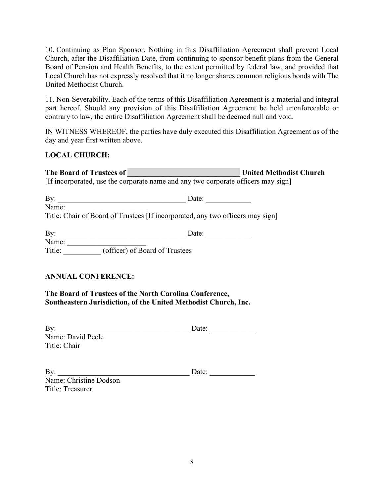10. Continuing as Plan Sponsor. Nothing in this Disaffiliation Agreement shall prevent Local Church, after the Disaffiliation Date, from continuing to sponsor benefit plans from the General Board of Pension and Health Benefits, to the extent permitted by federal law, and provided that Local Church has not expressly resolved that it no longer shares common religious bonds with The United Methodist Church.

11. Non-Severability. Each of the terms of this Disaffiliation Agreement is a material and integral part hereof. Should any provision of this Disaffiliation Agreement be held unenforceable or contrary to law, the entire Disaffiliation Agreement shall be deemed null and void.

IN WITNESS WHEREOF, the parties have duly executed this Disaffiliation Agreement as of the day and year first written above.

# **LOCAL CHURCH:**

| The Board of Trustees of                                                          |                                                                                | <b>United Methodist Church</b> |
|-----------------------------------------------------------------------------------|--------------------------------------------------------------------------------|--------------------------------|
| [If incorporated, use the corporate name and any two corporate officers may sign] |                                                                                |                                |
|                                                                                   |                                                                                |                                |
| $\rm\,By:$                                                                        | Date:                                                                          |                                |
| Name:                                                                             |                                                                                |                                |
|                                                                                   | Title: Chair of Board of Trustees [If incorporated, any two officers may sign] |                                |
|                                                                                   |                                                                                |                                |
| By:                                                                               | Date:                                                                          |                                |
| Name:                                                                             |                                                                                |                                |

# **ANNUAL CONFERENCE:**

Title:  $\overline{\hspace{1cm}}$  (officer) of Board of Trustees

**The Board of Trustees of the North Carolina Conference, Southeastern Jurisdiction, of the United Methodist Church, Inc.**

| By:               | Date: |
|-------------------|-------|
| Name: David Peele |       |
| Title: Chair      |       |

| By:                    | Date: |
|------------------------|-------|
| Name: Christine Dodson |       |
| Title: Treasurer       |       |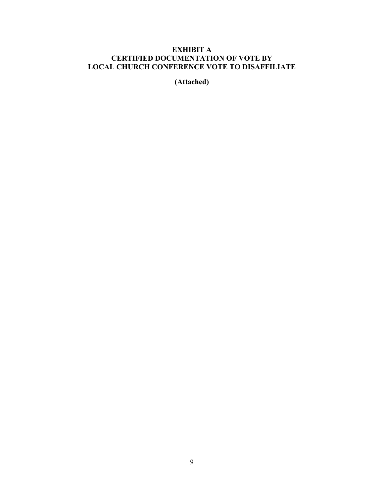# **EXHIBIT A CERTIFIED DOCUMENTATION OF VOTE BY LOCAL CHURCH CONFERENCE VOTE TO DISAFFILIATE**

**(Attached)**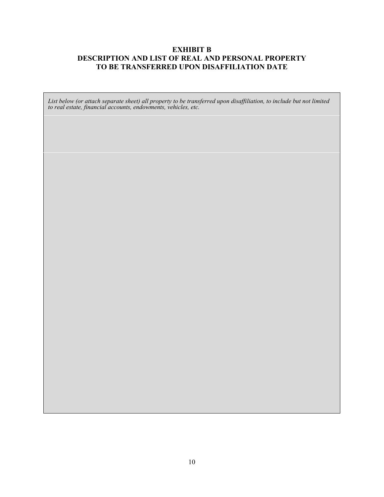## **EXHIBIT B DESCRIPTION AND LIST OF REAL AND PERSONAL PROPERTY TO BE TRANSFERRED UPON DISAFFILIATION DATE**

*List below (or attach separate sheet) all property to be transferred upon disaffiliation, to include but not limited to real estate, financial accounts, endowments, vehicles, etc.*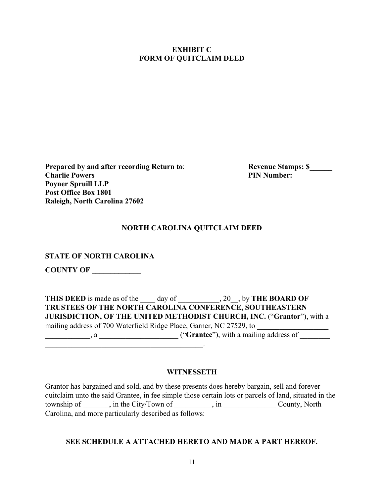## **EXHIBIT C FORM OF QUITCLAIM DEED**

**Prepared by and after recording Return to: Revenue Stamps: \$\_\_\_\_\_ Charlie Powers PIN Number: PIN Number: PIN Number: Poyner Spruill LLP Post Office Box 1801 Raleigh, North Carolina 27602** 

# **NORTH CAROLINA QUITCLAIM DEED**

**STATE OF NORTH CAROLINA**

**COUNTY OF \_\_\_\_\_\_\_\_\_\_\_\_\_** 

|                                                                     | <b>THIS DEED</b> is made as of the day of . 20, by <b>THE BOARD OF</b> |
|---------------------------------------------------------------------|------------------------------------------------------------------------|
|                                                                     | TRUSTEES OF THE NORTH CAROLINA CONFERENCE, SOUTHEASTERN                |
|                                                                     | JURISDICTION, OF THE UNITED METHODIST CHURCH, INC. ("Grantor"), with a |
| mailing address of 700 Waterfield Ridge Place, Garner, NC 27529, to |                                                                        |
| $\mathbf{a}$ , a set of $\mathbf{a}$                                | ("Grantee"), with a mailing address of                                 |
|                                                                     |                                                                        |

#### **WITNESSETH**

Grantor has bargained and sold, and by these presents does hereby bargain, sell and forever quitclaim unto the said Grantee, in fee simple those certain lots or parcels of land, situated in the township of \_\_\_\_\_\_, in the City/Town of \_\_\_\_\_\_\_\_, in \_\_\_\_\_\_\_\_\_\_\_\_\_\_\_County, North Carolina, and more particularly described as follows:

### **SEE SCHEDULE A ATTACHED HERETO AND MADE A PART HEREOF.**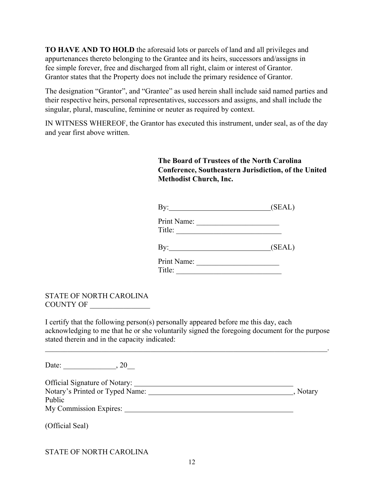**TO HAVE AND TO HOLD** the aforesaid lots or parcels of land and all privileges and appurtenances thereto belonging to the Grantee and its heirs, successors and/assigns in fee simple forever, free and discharged from all right, claim or interest of Grantor. Grantor states that the Property does not include the primary residence of Grantor.

The designation "Grantor", and "Grantee" as used herein shall include said named parties and their respective heirs, personal representatives, successors and assigns, and shall include the singular, plural, masculine, feminine or neuter as required by context.

IN WITNESS WHEREOF, the Grantor has executed this instrument, under seal, as of the day and year first above written.

# **The Board of Trustees of the North Carolina Conference, Southeastern Jurisdiction, of the United Methodist Church, Inc.**

| $\mathbf{By:}$        | (SEAL) |
|-----------------------|--------|
| Print Name:<br>Title: |        |
| $\rm\,By:$            | (SEAL) |
| Print Name:<br>Title: |        |

## STATE OF NORTH CAROLINA COUNTY OF \_\_\_\_\_\_\_\_\_\_\_\_\_\_\_\_

I certify that the following person(s) personally appeared before me this day, each acknowledging to me that he or she voluntarily signed the foregoing document for the purpose stated therein and in the capacity indicated:

 $\mathcal{L}_\mathcal{L} = \mathcal{L}_\mathcal{L} = \mathcal{L}_\mathcal{L} = \mathcal{L}_\mathcal{L} = \mathcal{L}_\mathcal{L} = \mathcal{L}_\mathcal{L} = \mathcal{L}_\mathcal{L} = \mathcal{L}_\mathcal{L} = \mathcal{L}_\mathcal{L} = \mathcal{L}_\mathcal{L} = \mathcal{L}_\mathcal{L} = \mathcal{L}_\mathcal{L} = \mathcal{L}_\mathcal{L} = \mathcal{L}_\mathcal{L} = \mathcal{L}_\mathcal{L} = \mathcal{L}_\mathcal{L} = \mathcal{L}_\mathcal{L}$ 

Date: \_\_\_\_\_\_\_\_\_\_\_\_\_\_, 20\_\_

| <b>Official Signature of Notary:</b> |          |
|--------------------------------------|----------|
| Notary's Printed or Typed Name:      | , Notary |
| Public                               |          |
| My Commission Expires:               |          |

(Official Seal)

# STATE OF NORTH CAROLINA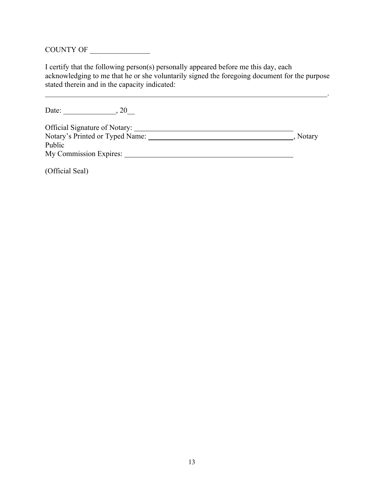COUNTY OF \_\_\_\_\_\_\_\_\_\_\_\_\_\_\_\_

I certify that the following person(s) personally appeared before me this day, each acknowledging to me that he or she voluntarily signed the foregoing document for the purpose stated therein and in the capacity indicated:

 $\mathcal{L}_\mathcal{L} = \mathcal{L}_\mathcal{L} = \mathcal{L}_\mathcal{L} = \mathcal{L}_\mathcal{L} = \mathcal{L}_\mathcal{L} = \mathcal{L}_\mathcal{L} = \mathcal{L}_\mathcal{L} = \mathcal{L}_\mathcal{L} = \mathcal{L}_\mathcal{L} = \mathcal{L}_\mathcal{L} = \mathcal{L}_\mathcal{L} = \mathcal{L}_\mathcal{L} = \mathcal{L}_\mathcal{L} = \mathcal{L}_\mathcal{L} = \mathcal{L}_\mathcal{L} = \mathcal{L}_\mathcal{L} = \mathcal{L}_\mathcal{L}$ 

| Date:<br>20                     |          |
|---------------------------------|----------|
| Official Signature of Notary:   |          |
| Notary's Printed or Typed Name: | , Notary |
| Public                          |          |
| My Commission Expires:          |          |

(Official Seal)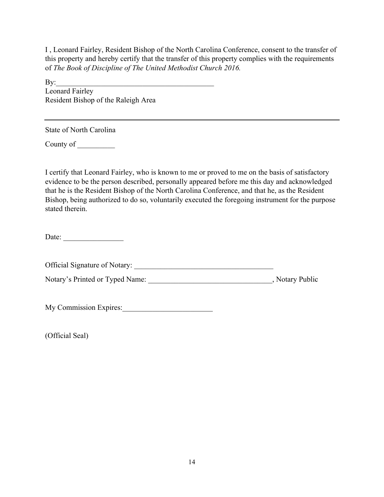I , Leonard Fairley, Resident Bishop of the North Carolina Conference, consent to the transfer of this property and hereby certify that the transfer of this property complies with the requirements of *The Book of Discipline of The United Methodist Church 2016.* 

 $\mathbf{By:}$ Leonard Fairley Resident Bishop of the Raleigh Area

State of North Carolina

County of \_\_\_\_\_\_\_\_\_\_

I certify that Leonard Fairley, who is known to me or proved to me on the basis of satisfactory evidence to be the person described, personally appeared before me this day and acknowledged that he is the Resident Bishop of the North Carolina Conference, and that he, as the Resident Bishop, being authorized to do so, voluntarily executed the foregoing instrument for the purpose stated therein.

Date:

Official Signature of Notary: \_\_\_\_\_\_\_\_\_\_\_\_\_\_\_\_\_\_\_\_\_\_\_\_\_\_\_\_\_\_\_\_\_\_\_\_\_

Notary's Printed or Typed Name: \_\_\_\_\_\_\_\_\_\_\_\_\_\_\_\_\_\_\_\_\_\_\_\_\_\_\_\_\_\_\_\_\_\_\_, Notary Public

My Commission Expires:

(Official Seal)